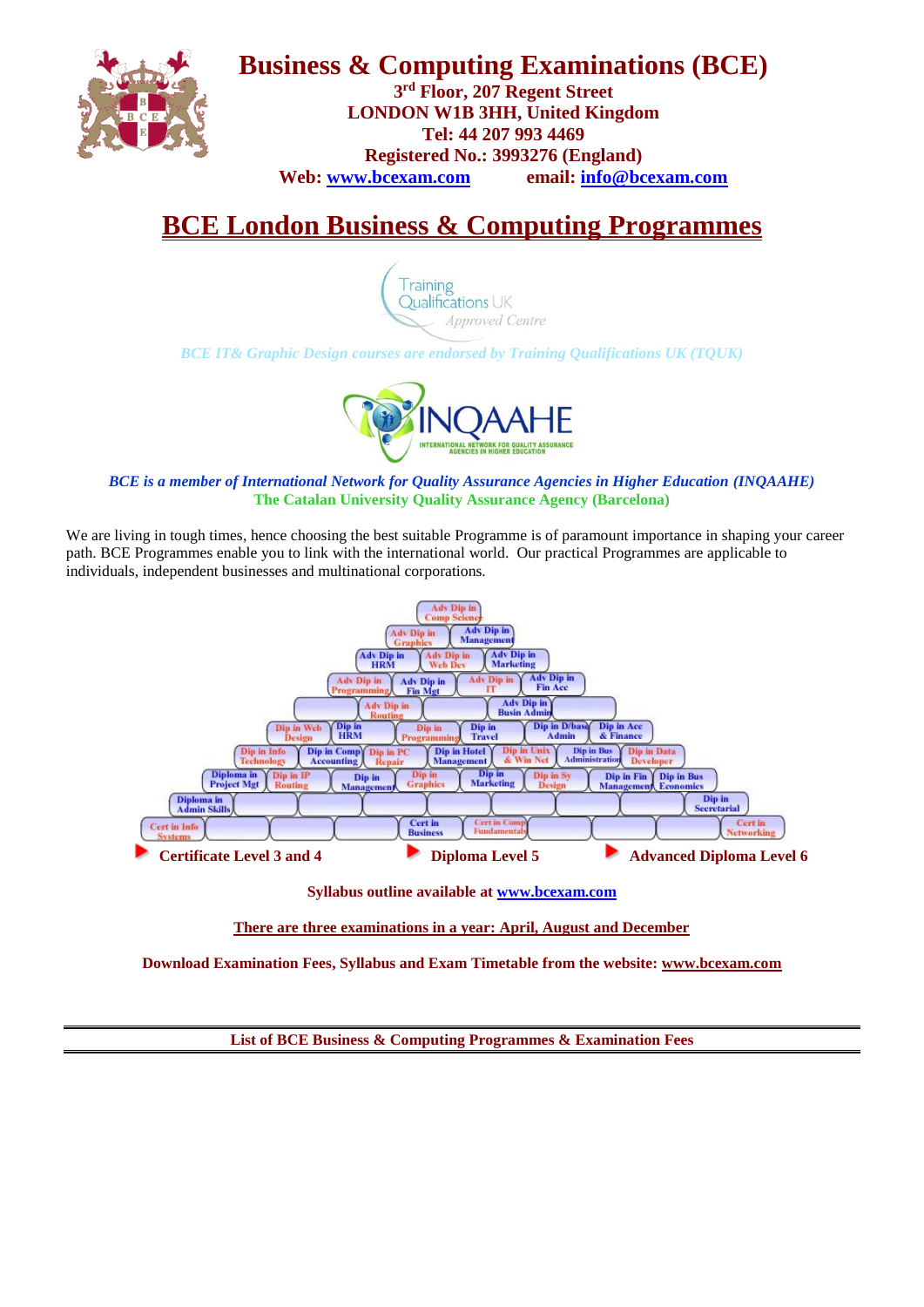

**Business & Computing Examinations (BCE)**

**3 rd Floor, 207 Regent Street LONDON W1B 3HH, United Kingdom Tel: 44 207 993 4469 Registered No.: 3993276 (England) Web: [www.bcexam.com](http://www.bcexam.com/) email: [info@bcexam.com](mailto:info@bcexam.com)**

# **BCE London Business & Computing Programmes**



*BCE IT& Graphic Design courses are endorsed by Training Qualifications UK (TQUK)*



### *BCE is a member of International Network for Quality Assurance Agencies in Higher Education (INQAAHE)* **The Catalan University Quality Assurance Agency (Barcelona)**

We are living in tough times, hence choosing the best suitable Programme is of paramount importance in shaping your career path. BCE Programmes enable you to link with the international world. Our practical Programmes are applicable to individuals, independent businesses and multinational corporations.



**Syllabus outline available at [www.bcexam.com](http://www.bcexam.com/)**

**There are three examinations in a year: April, August and December**

**Download Examination Fees, Syllabus and Exam Timetable from the website: [www.bcexam.com](http://www.bcexam.com/)**

**List of BCE Business & Computing Programmes & Examination Fees**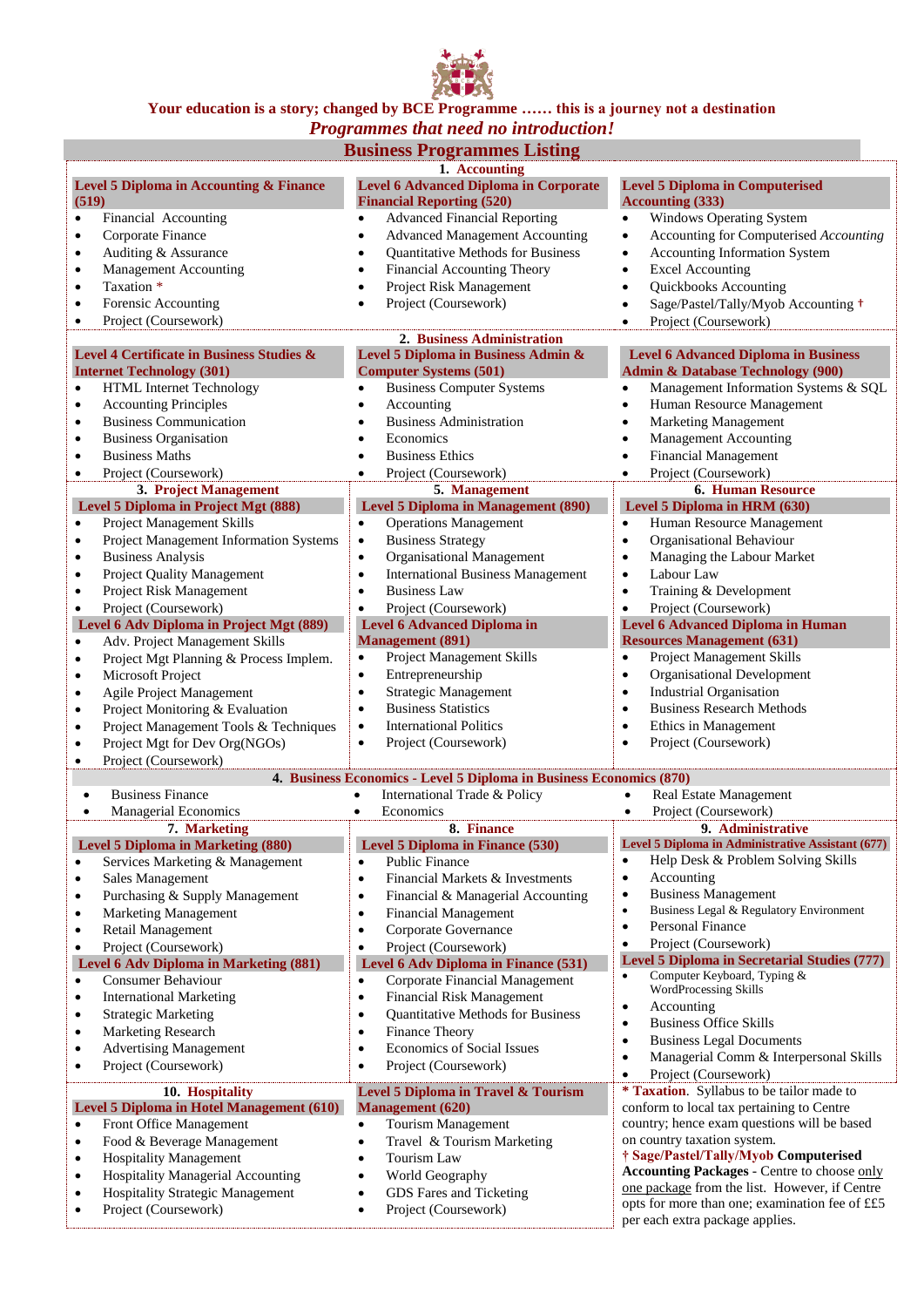

## **Your education is a story; changed by BCE Programme …… this is a journey not a destination**

| Programmes that need no introduction!            |                                                                     |                                                                   |  |  |
|--------------------------------------------------|---------------------------------------------------------------------|-------------------------------------------------------------------|--|--|
|                                                  | <b>Business Programmes Listing</b>                                  |                                                                   |  |  |
|                                                  | 1. Accounting                                                       |                                                                   |  |  |
| Level 5 Diploma in Accounting & Finance          | <b>Level 6 Advanced Diploma in Corporate</b>                        | <b>Level 5 Diploma in Computerised</b>                            |  |  |
| (519)                                            | <b>Financial Reporting (520)</b>                                    | <b>Accounting (333)</b>                                           |  |  |
| Financial Accounting                             | <b>Advanced Financial Reporting</b>                                 | <b>Windows Operating System</b>                                   |  |  |
| $\bullet$                                        | $\bullet$                                                           | $\bullet$                                                         |  |  |
| Corporate Finance                                | <b>Advanced Management Accounting</b>                               | Accounting for Computerised Accounting                            |  |  |
| $\bullet$                                        | $\bullet$                                                           | $\bullet$                                                         |  |  |
| Auditing & Assurance<br>$\bullet$                | Quantitative Methods for Business                                   | Accounting Information System<br>$\bullet$                        |  |  |
| <b>Management Accounting</b>                     | Financial Accounting Theory                                         | <b>Excel Accounting</b>                                           |  |  |
| $\bullet$                                        | $\bullet$                                                           | $\bullet$                                                         |  |  |
| Taxation *                                       | Project Risk Management                                             | Quickbooks Accounting                                             |  |  |
| $\bullet$                                        | $\bullet$                                                           | $\bullet$                                                         |  |  |
| Forensic Accounting                              | Project (Coursework)                                                | Sage/Pastel/Tally/Myob Accounting +                               |  |  |
| $\bullet$                                        | $\bullet$                                                           | $\bullet$                                                         |  |  |
| Project (Coursework)<br>$\bullet$                |                                                                     | Project (Coursework)<br>$\bullet$                                 |  |  |
|                                                  | 2. Business Administration                                          |                                                                   |  |  |
| Level 4 Certificate in Business Studies &        | Level 5 Diploma in Business Admin &                                 | <b>Level 6 Advanced Diploma in Business</b>                       |  |  |
| <b>Internet Technology (301)</b>                 | <b>Computer Systems (501)</b>                                       | <b>Admin &amp; Database Technology (900)</b>                      |  |  |
| HTML Internet Technology                         | <b>Business Computer Systems</b>                                    | Management Information Systems & SQL                              |  |  |
| $\bullet$                                        | $\bullet$                                                           | $\bullet$                                                         |  |  |
| <b>Accounting Principles</b>                     | Accounting                                                          | Human Resource Management                                         |  |  |
| $\bullet$                                        | $\bullet$                                                           | $\bullet$                                                         |  |  |
| <b>Business Communication</b><br>$\bullet$       | <b>Business Administration</b>                                      | <b>Marketing Management</b><br>$\bullet$                          |  |  |
| <b>Business Organisation</b><br>$\bullet$        | Economics                                                           | <b>Management Accounting</b><br>$\bullet$                         |  |  |
| <b>Business Maths</b>                            | <b>Business Ethics</b>                                              | <b>Financial Management</b>                                       |  |  |
| $\bullet$                                        | $\bullet$                                                           | $\bullet$                                                         |  |  |
| Project (Coursework)                             | Project (Coursework)                                                | Project (Coursework)                                              |  |  |
| $\bullet$                                        | $\bullet$                                                           | $\bullet$                                                         |  |  |
| 3. Project Management                            | 5. Management                                                       | <b>6. Human Resource</b>                                          |  |  |
| Level 5 Diploma in Project Mgt (888)             | <b>Level 5 Diploma in Management (890)</b>                          | Level 5 Diploma in HRM (630)                                      |  |  |
| Project Management Skills                        | <b>Operations Management</b>                                        | Human Resource Management                                         |  |  |
| $\bullet$                                        | $\bullet$                                                           | $\bullet$                                                         |  |  |
| Project Management Information Systems           | <b>Business Strategy</b>                                            | Organisational Behaviour                                          |  |  |
| $\bullet$                                        | $\bullet$                                                           | $\bullet$                                                         |  |  |
| <b>Business Analysis</b>                         | Organisational Management                                           | Managing the Labour Market                                        |  |  |
| $\bullet$                                        | $\bullet$                                                           | $\bullet$                                                         |  |  |
| Project Quality Management                       | <b>International Business Management</b>                            | Labour Law                                                        |  |  |
| $\bullet$                                        | $\bullet$                                                           | $\bullet$                                                         |  |  |
| Project Risk Management                          | <b>Business Law</b>                                                 | Training & Development                                            |  |  |
| $\bullet$                                        | $\bullet$                                                           | $\bullet$                                                         |  |  |
| Project (Coursework)                             | Project (Coursework)                                                | Project (Coursework)                                              |  |  |
| $\bullet$                                        | $\bullet$                                                           | $\bullet$                                                         |  |  |
| Level 6 Adv Diploma in Project Mgt (889)         | <b>Level 6 Advanced Diploma in</b>                                  | <b>Level 6 Advanced Diploma in Human</b>                          |  |  |
| Adv. Project Management Skills                   | <b>Management</b> (891)                                             | <b>Resources Management (631)</b>                                 |  |  |
| $\bullet$                                        | Project Management Skills                                           | Project Management Skills                                         |  |  |
| Project Mgt Planning & Process Implem.           | $\bullet$                                                           | $\bullet$                                                         |  |  |
| $\bullet$<br>Microsoft Project<br>$\bullet$      | Entrepreneurship<br>$\bullet$                                       | Organisational Development<br>$\bullet$                           |  |  |
| Agile Project Management                         | <b>Strategic Management</b>                                         | <b>Industrial Organisation</b>                                    |  |  |
| $\bullet$                                        | $\bullet$                                                           | $\bullet$                                                         |  |  |
| Project Monitoring & Evaluation                  | <b>Business Statistics</b>                                          | <b>Business Research Methods</b>                                  |  |  |
| $\bullet$                                        | $\bullet$                                                           | $\bullet$                                                         |  |  |
| Project Management Tools & Techniques            | <b>International Politics</b>                                       | Ethics in Management                                              |  |  |
| $\bullet$                                        | $\bullet$                                                           | $\bullet$                                                         |  |  |
| Project Mgt for Dev Org(NGOs)                    | Project (Coursework)                                                | Project (Coursework)                                              |  |  |
| $\bullet$                                        | $\bullet$                                                           | $\bullet$                                                         |  |  |
| Project (Coursework)<br>$\bullet$                |                                                                     |                                                                   |  |  |
|                                                  | 4. Business Economics - Level 5 Diploma in Business Economics (870) |                                                                   |  |  |
| <b>Business Finance</b>                          | International Trade & Policy                                        | Real Estate Management                                            |  |  |
| <b>Managerial Economics</b>                      | Economics<br>$\bullet$                                              | Project (Coursework)<br>$\bullet$                                 |  |  |
| 7. Marketing                                     | 8. Finance                                                          | 9. Administrative                                                 |  |  |
| <b>Level 5 Diploma in Marketing (880)</b>        | Level 5 Diploma in Finance (530)                                    | Level 5 Diploma in Administrative Assistant (677)                 |  |  |
| Services Marketing & Management                  | <b>Public Finance</b>                                               | Help Desk & Problem Solving Skills                                |  |  |
| $\bullet$                                        | $\bullet$                                                           | $\bullet$                                                         |  |  |
| Sales Management                                 | Financial Markets & Investments                                     | Accounting                                                        |  |  |
| $\bullet$                                        | $\bullet$                                                           | $\bullet$                                                         |  |  |
| Purchasing & Supply Management                   | Financial & Managerial Accounting                                   | <b>Business Management</b>                                        |  |  |
| $\bullet$                                        | ٠                                                                   | $\bullet$                                                         |  |  |
| <b>Marketing Management</b>                      | <b>Financial Management</b>                                         | Business Legal & Regulatory Environment                           |  |  |
| $\bullet$                                        | $\bullet$                                                           | $\bullet$                                                         |  |  |
| Retail Management                                | Corporate Governance                                                | Personal Finance                                                  |  |  |
| $\bullet$                                        | $\bullet$                                                           | $\bullet$                                                         |  |  |
| Project (Coursework)                             | Project (Coursework)                                                | Project (Coursework)                                              |  |  |
| $\bullet$                                        | $\bullet$                                                           | $\bullet$                                                         |  |  |
| <b>Level 6 Adv Diploma in Marketing (881)</b>    | Level 6 Adv Diploma in Finance (531)                                | <b>Level 5 Diploma in Secretarial Studies (777)</b>               |  |  |
| Consumer Behaviour<br>$\bullet$                  | Corporate Financial Management<br>$\bullet$                         | Computer Keyboard, Typing &<br>$\bullet$<br>WordProcessing Skills |  |  |
| <b>International Marketing</b>                   | <b>Financial Risk Management</b>                                    | Accounting                                                        |  |  |
| $\bullet$                                        | $\bullet$                                                           | $\bullet$                                                         |  |  |
| <b>Strategic Marketing</b>                       | Quantitative Methods for Business                                   | <b>Business Office Skills</b>                                     |  |  |
| $\bullet$                                        | ٠                                                                   | $\bullet$                                                         |  |  |
| Marketing Research                               | Finance Theory                                                      | <b>Business Legal Documents</b>                                   |  |  |
| $\bullet$                                        | $\bullet$                                                           | $\bullet$                                                         |  |  |
| <b>Advertising Management</b>                    | Economics of Social Issues                                          | Managerial Comm & Interpersonal Skills                            |  |  |
| $\bullet$                                        | $\bullet$                                                           | $\bullet$                                                         |  |  |
| Project (Coursework)                             | Project (Coursework)                                                | Project (Coursework)                                              |  |  |
| $\bullet$                                        | $\bullet$                                                           | $\bullet$                                                         |  |  |
| 10. Hospitality                                  | Level 5 Diploma in Travel & Tourism                                 | * Taxation. Syllabus to be tailor made to                         |  |  |
| <b>Level 5 Diploma in Hotel Management (610)</b> | <b>Management</b> (620)                                             | conform to local tax pertaining to Centre                         |  |  |
| Front Office Management<br>$\bullet$             | Tourism Management<br>$\bullet$                                     | country; hence exam questions will be based                       |  |  |
| Food & Beverage Management<br>$\bullet$          | Travel & Tourism Marketing<br>$\bullet$                             | on country taxation system.                                       |  |  |
| <b>Hospitality Management</b><br>$\bullet$       | Tourism Law<br>$\bullet$                                            | † Sage/Pastel/Tally/Myob Computerised                             |  |  |
| Hospitality Managerial Accounting<br>$\bullet$   | World Geography<br>$\bullet$                                        | <b>Accounting Packages - Centre to choose only</b>                |  |  |
| Hospitality Strategic Management<br>$\bullet$    | GDS Fares and Ticketing                                             | one package from the list. However, if Centre                     |  |  |
| Project (Coursework)                             | Project (Coursework)<br>$\bullet$                                   | opts for more than one; examination fee of ££5                    |  |  |
|                                                  |                                                                     | per each extra package applies.                                   |  |  |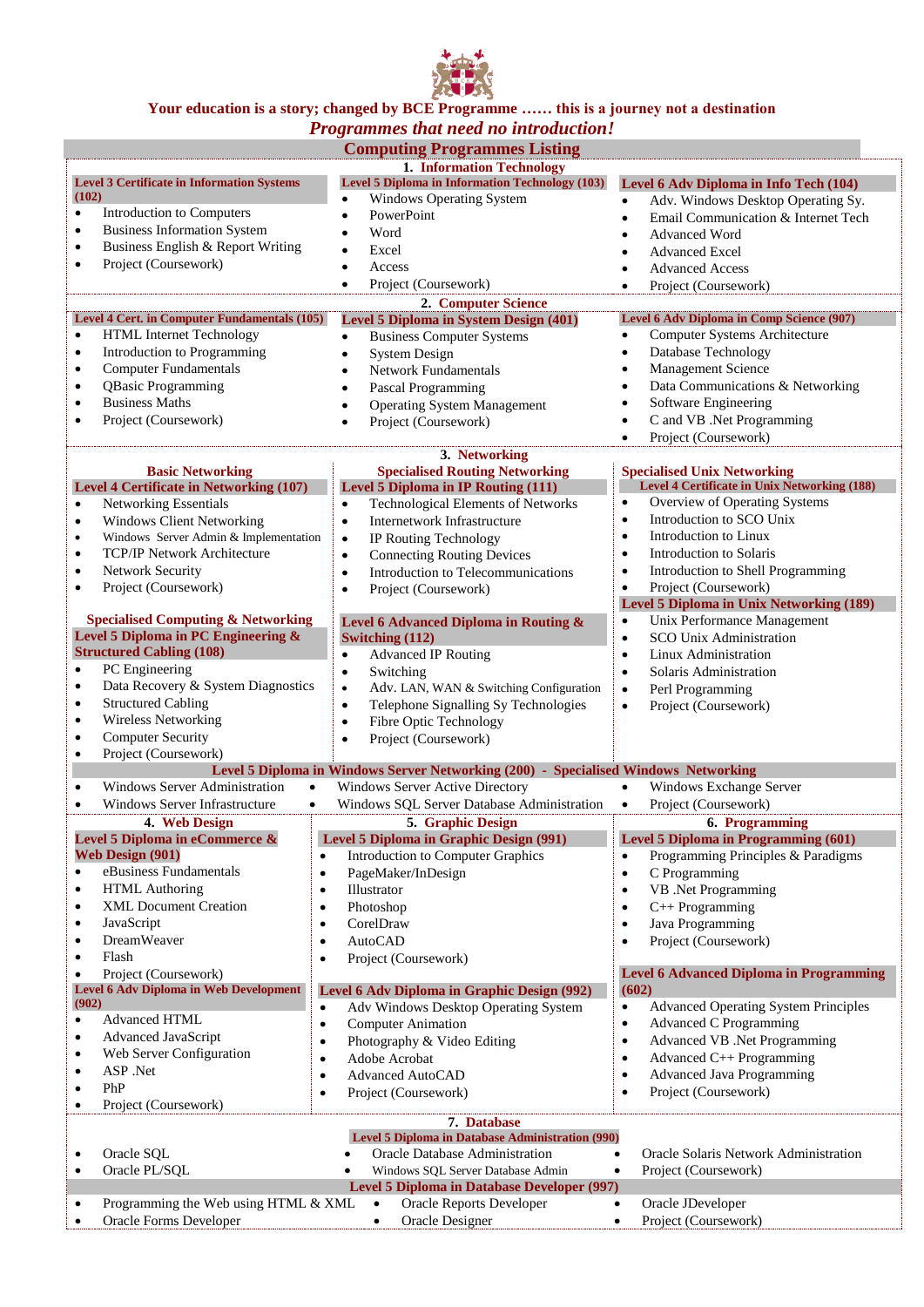

#### **Your education is a story; changed by BCE Programme …… this is a journey not a destination** *Programmes that need no introduction!*

| <i>Frogrammes that need no introduction:</i>                   |                                                                                     |                                                          |  |  |
|----------------------------------------------------------------|-------------------------------------------------------------------------------------|----------------------------------------------------------|--|--|
|                                                                | <b>Computing Programmes Listing</b><br>1. Information Technology                    |                                                          |  |  |
| <b>Level 3 Certificate in Information Systems</b>              | Level 5 Diploma in Information Technology (103)                                     | Level 6 Adv Diploma in Info Tech (104)                   |  |  |
| (102)                                                          | <b>Windows Operating System</b><br>$\bullet$                                        | Adv. Windows Desktop Operating Sy.<br>$\bullet$          |  |  |
| Introduction to Computers<br>$\bullet$                         | PowerPoint<br>$\bullet$                                                             | Email Communication & Internet Tech<br>$\bullet$         |  |  |
| <b>Business Information System</b><br>$\bullet$                | Word                                                                                | <b>Advanced Word</b><br>$\bullet$                        |  |  |
| Business English & Report Writing<br>$\bullet$                 | Excel                                                                               | <b>Advanced Excel</b>                                    |  |  |
| Project (Coursework)<br>$\bullet$                              | Access<br>$\bullet$                                                                 | <b>Advanced Access</b>                                   |  |  |
|                                                                | Project (Coursework)<br>$\bullet$                                                   | Project (Coursework)                                     |  |  |
|                                                                | 2. Computer Science                                                                 |                                                          |  |  |
| <b>Level 4 Cert. in Computer Fundamentals (105)</b>            | <b>Level 5 Diploma in System Design (401)</b>                                       | Level 6 Adv Diploma in Comp Science (907)                |  |  |
| <b>HTML</b> Internet Technology                                | <b>Business Computer Systems</b><br>$\bullet$                                       | Computer Systems Architecture                            |  |  |
| Introduction to Programming<br>$\bullet$                       | <b>System Design</b><br>$\bullet$                                                   | Database Technology                                      |  |  |
| <b>Computer Fundamentals</b><br>$\bullet$                      | <b>Network Fundamentals</b><br>٠                                                    | Management Science<br>$\bullet$                          |  |  |
| <b>QBasic Programming</b><br>$\bullet$                         | Pascal Programming                                                                  | Data Communications & Networking                         |  |  |
| <b>Business Maths</b><br>$\bullet$                             | <b>Operating System Management</b>                                                  | Software Engineering<br>$\bullet$                        |  |  |
| Project (Coursework)                                           | Project (Coursework)                                                                | C and VB .Net Programming<br>٠                           |  |  |
|                                                                |                                                                                     | Project (Coursework)                                     |  |  |
|                                                                | 3. Networking                                                                       |                                                          |  |  |
| <b>Basic Networking</b>                                        | <b>Specialised Routing Networking</b>                                               | <b>Specialised Unix Networking</b>                       |  |  |
| Level 4 Certificate in Networking (107)                        | Level 5 Diploma in IP Routing (111)                                                 | <b>Level 4 Certificate in Unix Networking (188)</b>      |  |  |
| <b>Networking Essentials</b><br>$\bullet$                      | <b>Technological Elements of Networks</b><br>$\bullet$                              | Overview of Operating Systems<br>$\bullet$               |  |  |
| <b>Windows Client Networking</b><br>$\bullet$                  | Internetwork Infrastructure<br>$\bullet$                                            | Introduction to SCO Unix<br>$\bullet$                    |  |  |
| Windows Server Admin & Implementation<br>$\bullet$             | IP Routing Technology<br>$\bullet$                                                  | Introduction to Linux<br>$\bullet$                       |  |  |
| <b>TCP/IP Network Architecture</b><br>$\bullet$                | <b>Connecting Routing Devices</b><br>$\bullet$                                      | Introduction to Solaris<br>$\bullet$                     |  |  |
| Network Security<br>$\bullet$                                  | Introduction to Telecommunications<br>$\bullet$                                     | Introduction to Shell Programming<br>$\bullet$           |  |  |
| Project (Coursework)<br>$\bullet$                              | Project (Coursework)<br>$\bullet$                                                   | Project (Coursework)<br>$\bullet$                        |  |  |
|                                                                |                                                                                     | <b>Level 5 Diploma in Unix Networking (189)</b>          |  |  |
| <b>Specialised Computing &amp; Networking</b>                  | Level 6 Advanced Diploma in Routing &                                               | Unix Performance Management<br>$\bullet$                 |  |  |
| Level 5 Diploma in PC Engineering &                            | Switching (112)                                                                     | SCO Unix Administration<br>$\bullet$                     |  |  |
| <b>Structured Cabling (108)</b>                                | <b>Advanced IP Routing</b><br>$\bullet$                                             | Linux Administration<br>$\bullet$                        |  |  |
| PC Engineering<br>$\bullet$                                    | Switching<br>$\bullet$                                                              | Solaris Administration<br>$\bullet$                      |  |  |
| Data Recovery & System Diagnostics<br>$\bullet$                | Adv. LAN, WAN & Switching Configuration<br>$\bullet$                                | Perl Programming<br>$\bullet$                            |  |  |
| <b>Structured Cabling</b><br>$\bullet$                         | Telephone Signalling Sy Technologies<br>$\bullet$                                   | Project (Coursework)<br>$\bullet$                        |  |  |
| Wireless Networking<br>$\bullet$                               | Fibre Optic Technology<br>$\bullet$                                                 |                                                          |  |  |
| <b>Computer Security</b><br>$\bullet$                          | Project (Coursework)<br>$\bullet$                                                   |                                                          |  |  |
| Project (Coursework)<br>$\bullet$                              | Level 5 Diploma in Windows Server Networking (200) - Specialised Windows Networking |                                                          |  |  |
| Windows Server Administration<br>$\bullet$<br>$\bullet$        | <b>Windows Server Active Directory</b>                                              | Windows Exchange Server                                  |  |  |
| <b>Windows Server Infrastructure</b><br>$\bullet$<br>$\bullet$ | Windows SQL Server Database Administration                                          | Project (Coursework)<br>$\bullet$                        |  |  |
| 4. Web Design                                                  | <b>5. Graphic Design</b>                                                            | 6. Programming                                           |  |  |
| Level 5 Diploma in eCommerce &                                 | Level 5 Diploma in Graphic Design (991)                                             | <b>Level 5 Diploma in Programming (601)</b>              |  |  |
| <b>Web Design (901)</b>                                        | Introduction to Computer Graphics                                                   | Programming Principles & Paradigms<br>$\bullet$          |  |  |
| eBusiness Fundamentals<br>٠                                    | PageMaker/InDesign<br>$\bullet$                                                     | C Programming<br>$\bullet$                               |  |  |
| <b>HTML</b> Authoring<br>$\bullet$                             | Illustrator<br>$\bullet$                                                            | VB .Net Programming<br>$\bullet$                         |  |  |
| <b>XML</b> Document Creation<br>$\bullet$                      | Photoshop<br>$\bullet$                                                              | C++ Programming<br>$\bullet$                             |  |  |
| JavaScript<br>٠                                                | CorelDraw<br>$\bullet$                                                              | Java Programming<br>$\bullet$                            |  |  |
| DreamWeaver                                                    | <b>AutoCAD</b><br>$\bullet$                                                         | Project (Coursework)<br>$\bullet$                        |  |  |
| Flash<br>٠                                                     | Project (Coursework)<br>$\bullet$                                                   |                                                          |  |  |
| Project (Coursework)<br>٠                                      |                                                                                     | <b>Level 6 Advanced Diploma in Programming</b>           |  |  |
| <b>Level 6 Adv Diploma in Web Development</b>                  | Level 6 Adv Diploma in Graphic Design (992)                                         | (602)                                                    |  |  |
| (902)                                                          | Adv Windows Desktop Operating System<br>$\bullet$                                   | <b>Advanced Operating System Principles</b><br>$\bullet$ |  |  |
| Advanced HTML<br>$\bullet$                                     | <b>Computer Animation</b><br>$\bullet$                                              | <b>Advanced C Programming</b><br>$\bullet$               |  |  |
| Advanced JavaScript<br>٠                                       | Photography & Video Editing<br>٠                                                    | Advanced VB .Net Programming<br>$\bullet$                |  |  |
| Web Server Configuration<br>٠                                  | Adobe Acrobat<br>$\bullet$                                                          | Advanced C++ Programming<br>$\bullet$                    |  |  |
| ASP .Net                                                       | Advanced AutoCAD<br>$\bullet$                                                       | <b>Advanced Java Programming</b><br>$\bullet$            |  |  |
| PhP<br>٠                                                       | Project (Coursework)<br>$\bullet$                                                   | Project (Coursework)<br>$\bullet$                        |  |  |
| Project (Coursework)<br>٠                                      |                                                                                     |                                                          |  |  |
|                                                                | 7. Database                                                                         |                                                          |  |  |
|                                                                | <b>Level 5 Diploma in Database Administration (990)</b>                             |                                                          |  |  |
| Oracle SQL                                                     | Oracle Database Administration                                                      | Oracle Solaris Network Administration                    |  |  |
| Oracle PL/SQL<br>٠                                             | Windows SQL Server Database Admin                                                   | Project (Coursework)<br>$\bullet$                        |  |  |
| Level 5 Diploma in Database Developer (997)                    |                                                                                     |                                                          |  |  |
| Programming the Web using HTML & XML<br>$\bullet$              | Oracle Reports Developer<br>$\bullet$                                               | Oracle JDeveloper<br>$\bullet$                           |  |  |
| Oracle Forms Developer<br>٠                                    | Oracle Designer<br>$\bullet$                                                        | Project (Coursework)<br>٠                                |  |  |